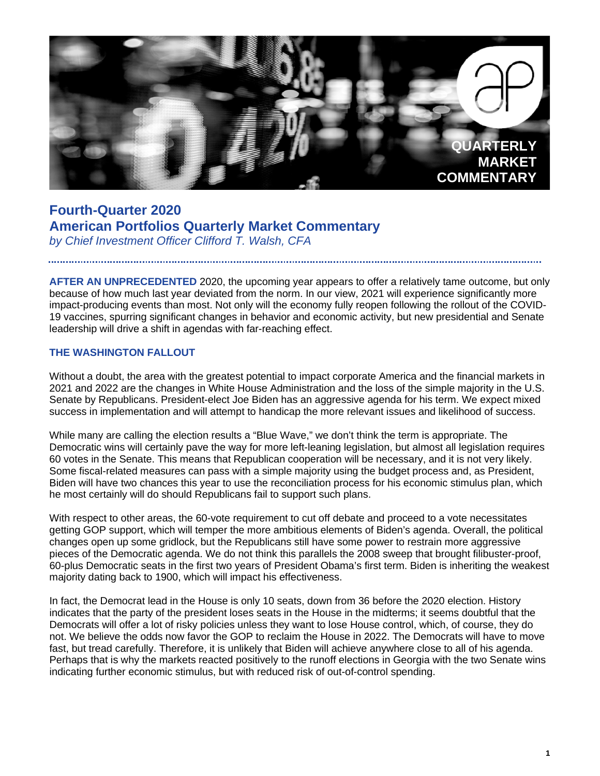

# **Fourth-Quarter 2020 American Portfolios Quarterly Market Commentary** *by Chief Investment Officer Clifford T. Walsh, CFA*

**AFTER AN UNPRECEDENTED** 2020, the upcoming year appears to offer a relatively tame outcome, but only because of how much last year deviated from the norm. In our view, 2021 will experience significantly more impact-producing events than most. Not only will the economy fully reopen following the rollout of the COVID-19 vaccines, spurring significant changes in behavior and economic activity, but new presidential and Senate leadership will drive a shift in agendas with far-reaching effect.

### **THE WASHINGTON FALLOUT**

Without a doubt, the area with the greatest potential to impact corporate America and the financial markets in 2021 and 2022 are the changes in White House Administration and the loss of the simple majority in the U.S. Senate by Republicans. President-elect Joe Biden has an aggressive agenda for his term. We expect mixed success in implementation and will attempt to handicap the more relevant issues and likelihood of success.

While many are calling the election results a "Blue Wave," we don't think the term is appropriate. The Democratic wins will certainly pave the way for more left-leaning legislation, but almost all legislation requires 60 votes in the Senate. This means that Republican cooperation will be necessary, and it is not very likely. Some fiscal-related measures can pass with a simple majority using the budget process and, as President, Biden will have two chances this year to use the reconciliation process for his economic stimulus plan, which he most certainly will do should Republicans fail to support such plans.

With respect to other areas, the 60-vote requirement to cut off debate and proceed to a vote necessitates getting GOP support, which will temper the more ambitious elements of Biden's agenda. Overall, the political changes open up some gridlock, but the Republicans still have some power to restrain more aggressive pieces of the Democratic agenda. We do not think this parallels the 2008 sweep that brought filibuster-proof, 60-plus Democratic seats in the first two years of President Obama's first term. Biden is inheriting the weakest majority dating back to 1900, which will impact his effectiveness.

In fact, the Democrat lead in the House is only 10 seats, down from 36 before the 2020 election. History indicates that the party of the president loses seats in the House in the midterms; it seems doubtful that the Democrats will offer a lot of risky policies unless they want to lose House control, which, of course, they do not. We believe the odds now favor the GOP to reclaim the House in 2022. The Democrats will have to move fast, but tread carefully. Therefore, it is unlikely that Biden will achieve anywhere close to all of his agenda. Perhaps that is why the markets reacted positively to the runoff elections in Georgia with the two Senate wins indicating further economic stimulus, but with reduced risk of out-of-control spending.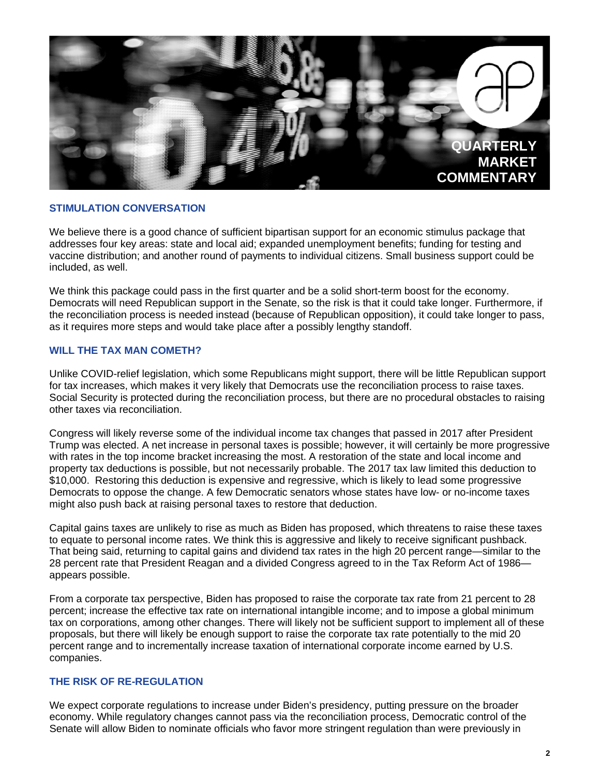

#### **STIMULATION CONVERSATION**

We believe there is a good chance of sufficient bipartisan support for an economic stimulus package that addresses four key areas: state and local aid; expanded unemployment benefits; funding for testing and vaccine distribution; and another round of payments to individual citizens. Small business support could be included, as well.

We think this package could pass in the first quarter and be a solid short-term boost for the economy. Democrats will need Republican support in the Senate, so the risk is that it could take longer. Furthermore, if the reconciliation process is needed instead (because of Republican opposition), it could take longer to pass, as it requires more steps and would take place after a possibly lengthy standoff.

#### **WILL THE TAX MAN COMETH?**

Unlike COVID-relief legislation, which some Republicans might support, there will be little Republican support for tax increases, which makes it very likely that Democrats use the reconciliation process to raise taxes. Social Security is protected during the reconciliation process, but there are no procedural obstacles to raising other taxes via reconciliation.

Congress will likely reverse some of the individual income tax changes that passed in 2017 after President Trump was elected. A net increase in personal taxes is possible; however, it will certainly be more progressive with rates in the top income bracket increasing the most. A restoration of the state and local income and property tax deductions is possible, but not necessarily probable. The 2017 tax law limited this deduction to \$10,000. Restoring this deduction is expensive and regressive, which is likely to lead some progressive Democrats to oppose the change. A few Democratic senators whose states have low- or no-income taxes might also push back at raising personal taxes to restore that deduction.

Capital gains taxes are unlikely to rise as much as Biden has proposed, which threatens to raise these taxes to equate to personal income rates. We think this is aggressive and likely to receive significant pushback. That being said, returning to capital gains and dividend tax rates in the high 20 percent range—similar to the 28 percent rate that President Reagan and a divided Congress agreed to in the Tax Reform Act of 1986 appears possible.

From a corporate tax perspective, Biden has proposed to raise the corporate tax rate from 21 percent to 28 percent; increase the effective tax rate on international intangible income; and to impose a global minimum tax on corporations, among other changes. There will likely not be sufficient support to implement all of these proposals, but there will likely be enough support to raise the corporate tax rate potentially to the mid 20 percent range and to incrementally increase taxation of international corporate income earned by U.S. companies.

#### **THE RISK OF RE-REGULATION**

We expect corporate regulations to increase under Biden's presidency, putting pressure on the broader economy. While regulatory changes cannot pass via the reconciliation process, Democratic control of the Senate will allow Biden to nominate officials who favor more stringent regulation than were previously in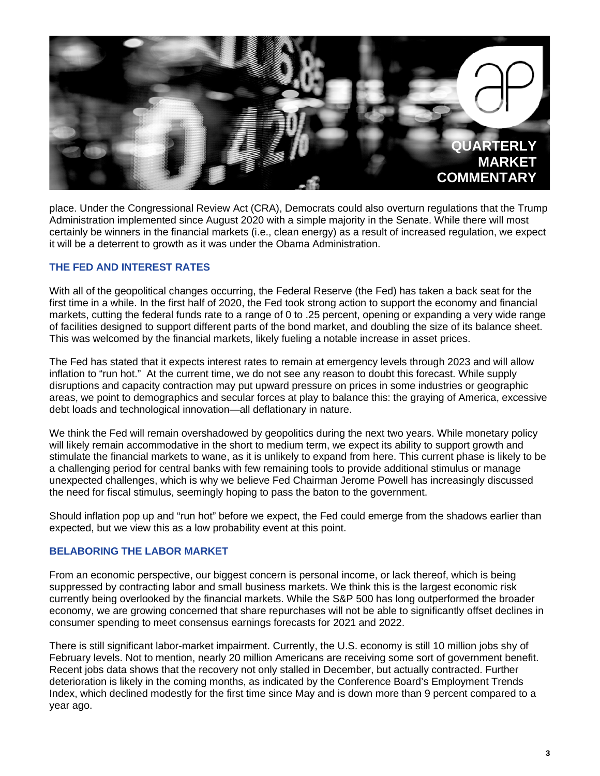

place. Under the Congressional Review Act (CRA), Democrats could also overturn regulations that the Trump Administration implemented since August 2020 with a simple majority in the Senate. While there will most certainly be winners in the financial markets (i.e., clean energy) as a result of increased regulation, we expect it will be a deterrent to growth as it was under the Obama Administration.

### **THE FED AND INTEREST RATES**

With all of the geopolitical changes occurring, the Federal Reserve (the Fed) has taken a back seat for the first time in a while. In the first half of 2020, the Fed took strong action to support the economy and financial markets, cutting the federal funds rate to a range of 0 to .25 percent, opening or expanding a very wide range of facilities designed to support different parts of the bond market, and doubling the size of its balance sheet. This was welcomed by the financial markets, likely fueling a notable increase in asset prices.

The Fed has stated that it expects interest rates to remain at emergency levels through 2023 and will allow inflation to "run hot." At the current time, we do not see any reason to doubt this forecast. While supply disruptions and capacity contraction may put upward pressure on prices in some industries or geographic areas, we point to demographics and secular forces at play to balance this: the graying of America, excessive debt loads and technological innovation—all deflationary in nature.

We think the Fed will remain overshadowed by geopolitics during the next two years. While monetary policy will likely remain accommodative in the short to medium term, we expect its ability to support growth and stimulate the financial markets to wane, as it is unlikely to expand from here. This current phase is likely to be a challenging period for central banks with few remaining tools to provide additional stimulus or manage unexpected challenges, which is why we believe Fed Chairman Jerome Powell has increasingly discussed the need for fiscal stimulus, seemingly hoping to pass the baton to the government.

Should inflation pop up and "run hot" before we expect, the Fed could emerge from the shadows earlier than expected, but we view this as a low probability event at this point.

#### **BELABORING THE LABOR MARKET**

From an economic perspective, our biggest concern is personal income, or lack thereof, which is being suppressed by contracting labor and small business markets. We think this is the largest economic risk currently being overlooked by the financial markets. While the S&P 500 has long outperformed the broader economy, we are growing concerned that share repurchases will not be able to significantly offset declines in consumer spending to meet consensus earnings forecasts for 2021 and 2022.

There is still significant labor-market impairment. Currently, the U.S. economy is still 10 million jobs shy of February levels. Not to mention, nearly 20 million Americans are receiving some sort of government benefit. Recent jobs data shows that the recovery not only stalled in December, but actually contracted. Further deterioration is likely in the coming months, as indicated by the Conference Board's Employment Trends Index, which declined modestly for the first time since May and is down more than 9 percent compared to a year ago.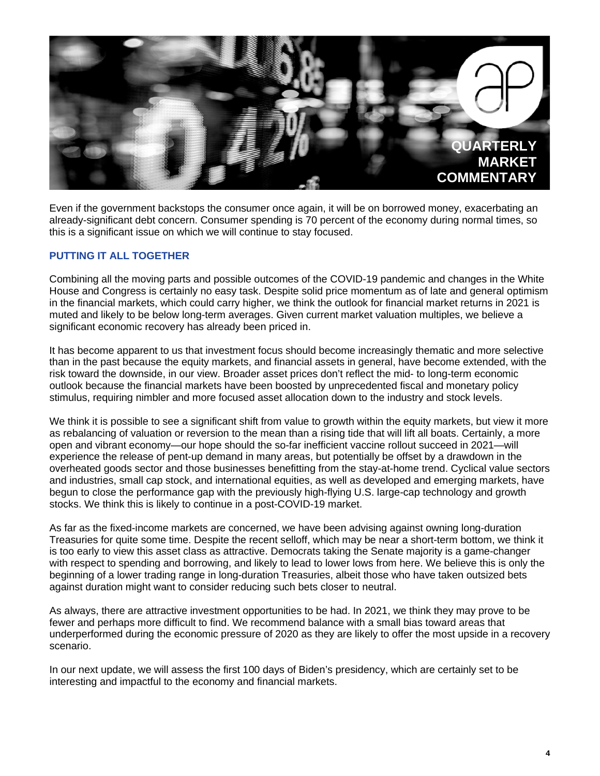

Even if the government backstops the consumer once again, it will be on borrowed money, exacerbating an already-significant debt concern. Consumer spending is 70 percent of the economy during normal times, so this is a significant issue on which we will continue to stay focused.

## **PUTTING IT ALL TOGETHER**

Combining all the moving parts and possible outcomes of the COVID-19 pandemic and changes in the White House and Congress is certainly no easy task. Despite solid price momentum as of late and general optimism in the financial markets, which could carry higher, we think the outlook for financial market returns in 2021 is muted and likely to be below long-term averages. Given current market valuation multiples, we believe a significant economic recovery has already been priced in.

It has become apparent to us that investment focus should become increasingly thematic and more selective than in the past because the equity markets, and financial assets in general, have become extended, with the risk toward the downside, in our view. Broader asset prices don't reflect the mid- to long-term economic outlook because the financial markets have been boosted by unprecedented fiscal and monetary policy stimulus, requiring nimbler and more focused asset allocation down to the industry and stock levels.

We think it is possible to see a significant shift from value to growth within the equity markets, but view it more as rebalancing of valuation or reversion to the mean than a rising tide that will lift all boats. Certainly, a more open and vibrant economy—our hope should the so-far inefficient vaccine rollout succeed in 2021—will experience the release of pent-up demand in many areas, but potentially be offset by a drawdown in the overheated goods sector and those businesses benefitting from the stay-at-home trend. Cyclical value sectors and industries, small cap stock, and international equities, as well as developed and emerging markets, have begun to close the performance gap with the previously high-flying U.S. large-cap technology and growth stocks. We think this is likely to continue in a post-COVID-19 market.

As far as the fixed-income markets are concerned, we have been advising against owning long-duration Treasuries for quite some time. Despite the recent selloff, which may be near a short-term bottom, we think it is too early to view this asset class as attractive. Democrats taking the Senate majority is a game-changer with respect to spending and borrowing, and likely to lead to lower lows from here. We believe this is only the beginning of a lower trading range in long-duration Treasuries, albeit those who have taken outsized bets against duration might want to consider reducing such bets closer to neutral.

As always, there are attractive investment opportunities to be had. In 2021, we think they may prove to be fewer and perhaps more difficult to find. We recommend balance with a small bias toward areas that underperformed during the economic pressure of 2020 as they are likely to offer the most upside in a recovery scenario.

In our next update, we will assess the first 100 days of Biden's presidency, which are certainly set to be interesting and impactful to the economy and financial markets.